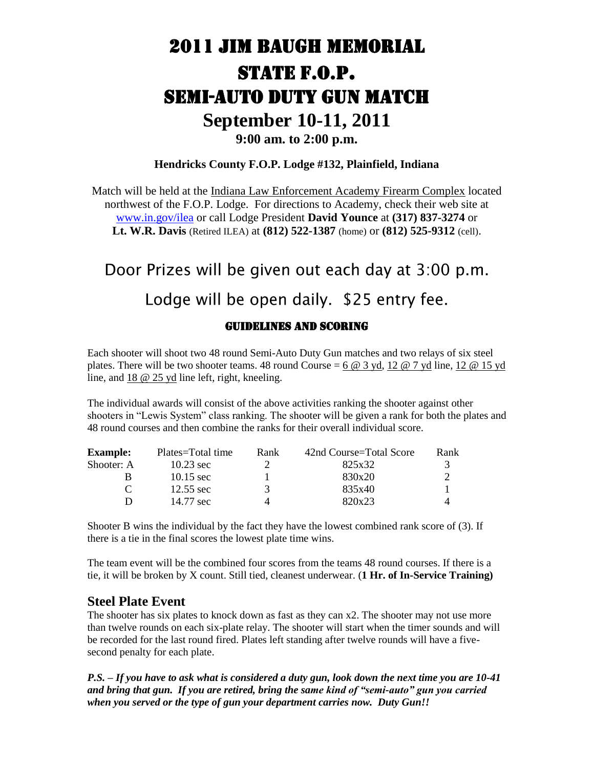### 2011 JIM BAUGH MEMORIAL STATE F.O.P. SEMI-AUTO DUTY GUN MATCH **September 10-11, 2011 9:00 am. to 2:00 p.m.**

#### **Hendricks County F.O.P. Lodge #132, Plainfield, Indiana**

Match will be held at the Indiana Law Enforcement Academy Firearm Complex located northwest of the F.O.P. Lodge. For directions to Academy, check their web site at [www.in.gov/ilea](http://www.in.gov/ilea) or call Lodge President **David Younce** at **(317) 837-3274** or **Lt. W.R. Davis** (Retired ILEA) at **(812) 522-1387** (home) or **(812) 525-9312** (cell).

# Door Prizes will be given out each day at 3:00 p.m. Lodge will be open daily. \$25 entry fee.

#### GUIDELINES AND SCORING

Each shooter will shoot two 48 round Semi-Auto Duty Gun matches and two relays of six steel plates. There will be two shooter teams. 48 round Course  $= 6 \text{ } \textcircled{a} 3$  yd, 12  $\textcircled{a} 7$  yd line, 12  $\textcircled{a} 15$  yd line, and 18 @ 25 yd line left, right, kneeling.

The individual awards will consist of the above activities ranking the shooter against other shooters in "Lewis System" class ranking. The shooter will be given a rank for both the plates and 48 round courses and then combine the ranks for their overall individual score.

| <b>Example:</b> | Plates=Total time   | Rank | 42nd Course=Total Score | Rank |
|-----------------|---------------------|------|-------------------------|------|
| Shooter: A      | $10.23 \text{ sec}$ |      | 825x32                  | 3    |
| в               | $10.15 \text{ sec}$ |      | 830x20                  |      |
|                 | $12.55 \text{ sec}$ | 3    | 835x40                  |      |
| D               | 14.77 sec           | 4    | 820x23                  |      |

Shooter B wins the individual by the fact they have the lowest combined rank score of (3). If there is a tie in the final scores the lowest plate time wins.

The team event will be the combined four scores from the teams 48 round courses. If there is a tie, it will be broken by X count. Still tied, cleanest underwear. (**1 Hr. of In-Service Training)**

#### **Steel Plate Event**

The shooter has six plates to knock down as fast as they can x2. The shooter may not use more than twelve rounds on each six-plate relay. The shooter will start when the timer sounds and will be recorded for the last round fired. Plates left standing after twelve rounds will have a fivesecond penalty for each plate.

*P.S. – If you have to ask what is considered a duty gun, look down the next time you are 10-41 and bring that gun. If you are retired, bring the same kind of "semi-auto" gun you carried when you served or the type of gun your department carries now. Duty Gun!!*